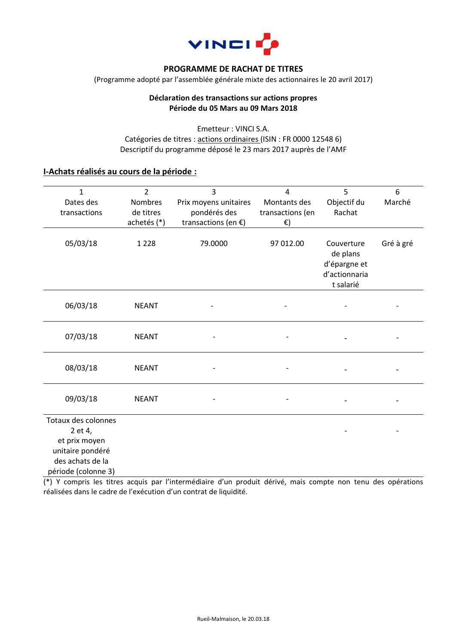

#### **PROGRAMME DE RACHAT DE TITRES**

(Programme adopté par l'assemblée générale mixte des actionnaires le 20 avril 2017)

### **Déclaration des transactions sur actions propres Période du 05 Mars au 09 Mars 2018**

Emetteur : VINCI S.A. Catégories de titres : actions ordinaires (ISIN : FR 0000 12548 6) Descriptif du programme déposé le 23 mars 2017 auprès de l'AMF

### **I-Achats réalisés au cours de la période :**

| $\mathbf{1}$<br>Dates des<br>transactions                                                                      | $\overline{2}$<br>Nombres<br>de titres<br>achetés (*) | 3<br>Prix moyens unitaires<br>pondérés des<br>transactions (en $E$ ) | 4<br>Montants des<br>transactions (en<br>€) | 5<br>Objectif du<br>Rachat                                           | 6<br>Marché |
|----------------------------------------------------------------------------------------------------------------|-------------------------------------------------------|----------------------------------------------------------------------|---------------------------------------------|----------------------------------------------------------------------|-------------|
| 05/03/18                                                                                                       | 1 2 2 8                                               | 79.0000                                                              | 97 012.00                                   | Couverture<br>de plans<br>d'épargne et<br>d'actionnaria<br>t salarié | Gré à gré   |
| 06/03/18                                                                                                       | <b>NEANT</b>                                          |                                                                      |                                             |                                                                      |             |
| 07/03/18                                                                                                       | <b>NEANT</b>                                          |                                                                      |                                             |                                                                      |             |
| 08/03/18                                                                                                       | <b>NEANT</b>                                          |                                                                      |                                             |                                                                      |             |
| 09/03/18                                                                                                       | <b>NEANT</b>                                          |                                                                      |                                             |                                                                      |             |
| Totaux des colonnes<br>2 et 4,<br>et prix moyen<br>unitaire pondéré<br>des achats de la<br>période (colonne 3) |                                                       |                                                                      |                                             |                                                                      |             |

(\*) Y compris les titres acquis par l'intermédiaire d'un produit dérivé, mais compte non tenu des opérations réalisées dans le cadre de l'exécution d'un contrat de liquidité.